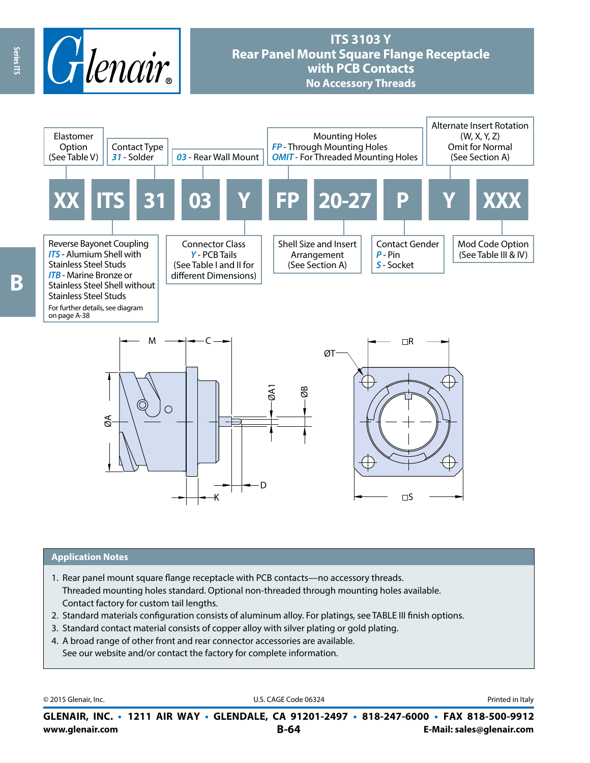

# **ITS 3103 Y Rear Panel Mount Square Flange Receptacle with PCB Contacts No Accessory Threads**



#### **Application Notes**

- 1. Rear panel mount square flange receptacle with PCB contacts—no accessory threads. Threaded mounting holes standard. Optional non-threaded through mounting holes available. Contact factory for custom tail lengths.
- 2. Standard materials configuration consists of aluminum alloy. For platings, see TABLE III finish options.
- 3. Standard contact material consists of copper alloy with silver plating or gold plating.
- 4. A broad range of other front and rear connector accessories are available. See our website and/or contact the factory for complete information.

© 2015 Glenair, Inc. **Discription Construction Construction Construction Construction Construction Construction Construction Construction Construction Construction Construction Construction Construction Construction Constr** 

**www.glenair.com B-64 E-Mail: sales@glenair.com GLENAIR, INC. • 1211 AIR WAY • GLENDALE, CA 91201-2497 • 818-247-6000 • FAX 818-500-9912**

Series ITS